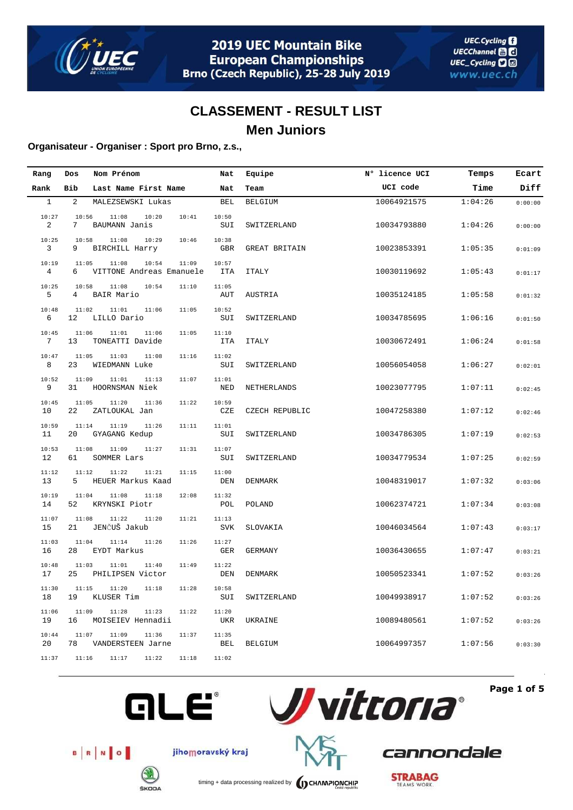

### **Organisateur - Organiser : Sport pro Brno, z.s.,**

| Rang         | Dos         | Nom Prénom                                          | Nat                 | Equipe         | N° licence UCI | Temps   | Ecart   |
|--------------|-------------|-----------------------------------------------------|---------------------|----------------|----------------|---------|---------|
| Rank         | Bib         | Last Name First Name                                | Nat                 | Team           | UCI code       | Time    | Diff    |
| $\mathbf{1}$ | 2           | MALEZSEWSKI Lukas                                   | <b>BEL</b>          | <b>BELGIUM</b> | 10064921575    | 1:04:26 | 0:00:00 |
| 10:27<br>2   | 10:56<br>7  | 11:08<br>10:20<br>10:41<br>BAUMANN Janis            | 10:50<br>SUI        | SWITZERLAND    | 10034793880    | 1:04:26 | 0:00:00 |
| 10:25<br>3   | 10:58<br>9  | 11:08<br>10:29<br>10:46<br>BIRCHILL Harry           | 10:38<br>GBR        | GREAT BRITAIN  | 10023853391    | 1:05:35 | 0:01:09 |
| 10:19<br>4   | 11:05<br>6  | 11:08<br>10:54<br>11:09<br>VITTONE Andreas Emanuele | 10:57<br><b>ITA</b> | <b>ITALY</b>   | 10030119692    | 1:05:43 | 0:01:17 |
| 10:25<br>5   | 10:58<br>4  | 11:08<br>10:54<br>11:10<br>BAIR Mario               | 11:05<br>AUT        | AUSTRIA        | 10035124185    | 1:05:58 | 0:01:32 |
| 10:48<br>6   | 11:02<br>12 | 11:01<br>11:06<br>11:05<br>LILLO Dario              | 10:52<br>SUI        | SWITZERLAND    | 10034785695    | 1:06:16 | 0:01:50 |
| 10:45<br>7   | 11:06<br>13 | 11:06<br>11:01<br>11:05<br>TONEATTI Davide          | 11:10<br><b>ITA</b> | <b>ITALY</b>   | 10030672491    | 1:06:24 | 0:01:58 |
| 10:47<br>8   | 11:05<br>23 | 11:03<br>11:08<br>11:16<br>WIEDMANN Luke            | 11:02<br>SUI        | SWITZERLAND    | 10056054058    | 1:06:27 | 0:02:01 |
| 10:52<br>9   | 11:09<br>31 | 11:01<br>11:13<br>11:07<br>HOORNSMAN Niek           | 11:01<br><b>NED</b> | NETHERLANDS    | 10023077795    | 1:07:11 | 0:02:45 |
| 10:45<br>10  | 11:05<br>22 | 11:20<br>11:36<br>11:22<br>ZATLOUKAL Jan            | 10:59<br>CZE        | CZECH REPUBLIC | 10047258380    | 1:07:12 | 0:02:46 |
| 10:59<br>11  | 11:14<br>20 | 11:19<br>11:26<br>11:11<br>GYAGANG Kedup            | 11:01<br>SUI        | SWITZERLAND    | 10034786305    | 1:07:19 | 0:02:53 |
| 10:53<br>12  | 11:08<br>61 | 11:09<br>11:31<br>11:27<br>SOMMER Lars              | 11:07<br>SUI        | SWITZERLAND    | 10034779534    | 1:07:25 | 0:02:59 |
| 11:12<br>13  | 11:12<br>5  | 11:22<br>11:21<br>11:15<br>HEUER Markus Kaad        | 11:00<br>DEN        | <b>DENMARK</b> | 10048319017    | 1:07:32 | 0:03:06 |
| 10:19<br>14  | 11:04<br>52 | 11:08<br>11:18<br>12:08<br>KRYNSKI Piotr            | 11:32<br>POL        | POLAND         | 10062374721    | 1:07:34 | 0:03:08 |
| 11:07<br>15  | 11:08<br>21 | 11:22<br>11:20<br>11:21<br>JENČUŠ Jakub             | 11:13<br><b>SVK</b> | SLOVAKIA       | 10046034564    | 1:07:43 | 0:03:17 |
| 11:03<br>16  | 11:04<br>28 | 11:14<br>11:26<br>11:26<br>EYDT Markus              | 11:27<br><b>GER</b> | <b>GERMANY</b> | 10036430655    | 1:07:47 | 0:03:21 |
| 10:48<br>17  | 11:03<br>25 | 11:01<br>11:40<br>11:49<br>PHILIPSEN Victor         | 11:22<br>DEN        | DENMARK        | 10050523341    | 1:07:52 | 0:03:26 |
| 11:30<br>18  | 11:15<br>19 | 11:20<br>11:18<br>11:28<br>KLUSER Tim               | 10:58<br>SUI        | SWITZERLAND    | 10049938917    | 1:07:52 | 0:03:26 |
| 11:06<br>19  | 11:09<br>16 | 11:28<br>11:23<br>11:22<br>MOISEIEV Hennadii        | 11:20<br><b>UKR</b> | UKRAINE        | 10089480561    | 1:07:52 | 0:03:26 |
| 10:44<br>20  | 11:07<br>78 | 11:09<br>11:36<br>11:37<br>VANDERSTEEN Jarne        | 11:35<br>BEL        | <b>BELGIUM</b> | 10064997357    | 1:07:56 | 0:03:30 |
| 11:37        | 11:16       | 11:17<br>11:22<br>11:18                             | 11:02               |                |                |         |         |



**Page 1 of 5**



jihomoravský kraj



**GLE®** 

timing + data processing realized by **CHAMPIONCHIP** 

**STRABAG** 

cannondale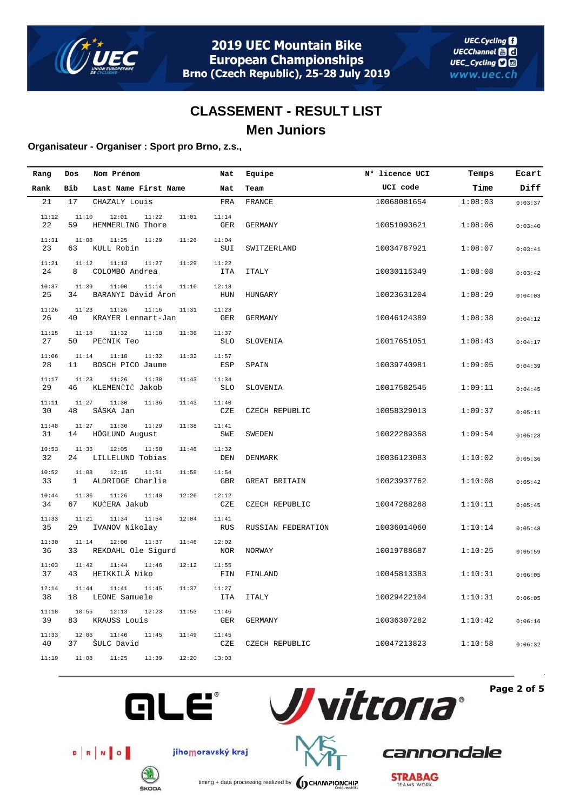

### **Organisateur - Organiser : Sport pro Brno, z.s.,**

| Rang        | Dos                   | Nom Prénom                           |       | Nat                 | Equipe             | N° licence UCI | Temps   | Ecart   |
|-------------|-----------------------|--------------------------------------|-------|---------------------|--------------------|----------------|---------|---------|
| Rank        | Bib                   | Last Name First Name                 |       | Nat                 | Team               | UCI code       | Time    | Diff    |
| 21          | 17                    | CHAZALY Louis                        |       | FRA                 | FRANCE             | 10068081654    | 1:08:03 | 0:03:37 |
| 11:12<br>22 | 11:10<br>59           | 12:01<br>11:22<br>HEMMERLING Thore   | 11:01 | 11:14<br><b>GER</b> | <b>GERMANY</b>     | 10051093621    | 1:08:06 | 0:03:40 |
| 11:31<br>23 | 11:08<br>63           | 11:25<br>11:29<br>KULL Robin         | 11:26 | 11:04<br>SUI        | SWITZERLAND        | 10034787921    | 1:08:07 | 0:03:41 |
| 11:21<br>24 | 11:12<br>8            | 11:13<br>11:27<br>COLOMBO Andrea     | 11:29 | 11:22<br><b>ITA</b> | <b>ITALY</b>       | 10030115349    | 1:08:08 | 0:03:42 |
| 10:37<br>25 | 11:39<br>34           | 11:00<br>11:14<br>BARANYI Dávid Áron | 11:16 | 12:18<br>HUN        | HUNGARY            | 10023631204    | 1:08:29 | 0:04:03 |
| 11:26<br>26 | 11:23<br>40           | 11:26<br>11:16<br>KRAYER Lennart-Jan | 11:31 | 11:23<br><b>GER</b> | <b>GERMANY</b>     | 10046124389    | 1:08:38 | 0:04:12 |
| 11:15<br>27 | 11:18<br>50           | 11:32<br>11:18<br>PEČNIK Teo         | 11:36 | 11:37<br><b>SLO</b> | SLOVENIA           | 10017651051    | 1:08:43 | 0:04:17 |
| 11:06<br>28 | 11:14<br>11           | 11:18<br>11:32<br>BOSCH PICO Jaume   | 11:32 | 11:57<br>ESP        | SPAIN              | 10039740981    | 1:09:05 | 0:04:39 |
| 11:17<br>29 | 11:23<br>46           | 11:26<br>11:38<br>KLEMENČIČ Jakob    | 11:43 | 11:34<br><b>SLO</b> | SLOVENIA           | 10017582545    | 1:09:11 | 0:04:45 |
| 11:11<br>30 | 11:27<br>48           | 11:30<br>11:36<br>SÁSKA Jan          | 11:43 | 11:40<br>CZE        | CZECH REPUBLIC     | 10058329013    | 1:09:37 | 0:05:11 |
| 11:48<br>31 | 11:27<br>14           | 11:30<br>11:29<br>HÖGLUND August     | 11:38 | 11:41<br>SWE        | SWEDEN             | 10022289368    | 1:09:54 | 0:05:28 |
| 10:53<br>32 | 11:35<br>24           | 12:05<br>11:58<br>LILLELUND Tobias   | 11:48 | 11:32<br>DEN        | DENMARK            | 10036123083    | 1:10:02 | 0:05:36 |
| 10:52<br>33 | 11:08<br>$\mathbf{1}$ | 12:15<br>11:51<br>ALDRIDGE Charlie   | 11:58 | 11:54<br><b>GBR</b> | GREAT BRITAIN      | 10023937762    | 1:10:08 | 0:05:42 |
| 10:44<br>34 | 11:36<br>67           | 11:26<br>11:40<br>KUČERA Jakub       | 12:26 | 12:12<br>CZE        | CZECH REPUBLIC     | 10047288288    | 1:10:11 | 0:05:45 |
| 11:33<br>35 | 11:21<br>29           | 11:34<br>11:54<br>IVANOV Nikolay     | 12:04 | 11:41<br><b>RUS</b> | RUSSIAN FEDERATION | 10036014060    | 1:10:14 | 0:05:48 |
| 11:30<br>36 | 11:14<br>33           | 12:00<br>11:37<br>REKDAHL Ole Sigurd | 11:46 | 12:02<br>NOR        | NORWAY             | 10019788687    | 1:10:25 | 0:05:59 |
| 11:03<br>37 | 11:42<br>43           | 11:44<br>11:46<br>HEIKKILÄ Niko      | 12:12 | 11:55<br>FIN        | FINLAND            | 10045813383    | 1:10:31 | 0:06:05 |
| 12:14<br>38 | 11:44<br>18           | 11:45<br>11:41<br>LEONE Samuele      | 11:37 | 11:27<br><b>ITA</b> | <b>ITALY</b>       | 10029422104    | 1:10:31 | 0:06:05 |
| 11:18<br>39 | 10:55<br>83           | 12:13<br>12:23<br>KRAUSS Louis       | 11:53 | 11:46<br>GER        | GERMANY            | 10036307282    | 1:10:42 | 0:06:16 |
| 11:33<br>40 | 12:06<br>37           | 11:40<br>11:45<br>ŠULC David         | 11:49 | 11:45<br>CZE        | CZECH REPUBLIC     | 10047213823    | 1:10:58 | 0:06:32 |
| 11:19       | 11:08                 | 11:25<br>11:39                       | 12:20 | 13:03               |                    |                |         |         |







jihomoravský kraj



**ŠKODA** 

timing + data processing realized by **CHAMPIONCHIP** 

**STRABAG** 

cannondale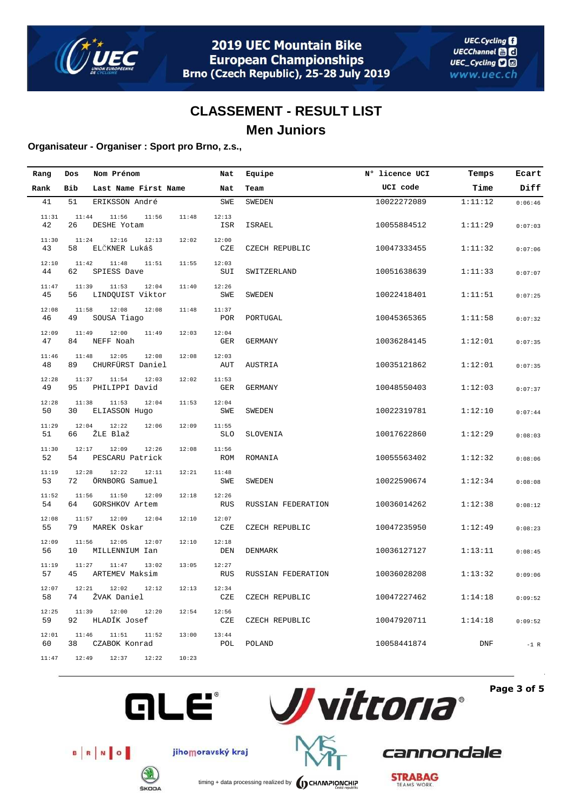

### **Organisateur - Organiser : Sport pro Brno, z.s.,**

| Rang        | Dos         | Nom Prénom                         |       | Nat                 | Equipe             | N° licence UCI | Temps      | Ecart   |
|-------------|-------------|------------------------------------|-------|---------------------|--------------------|----------------|------------|---------|
| Rank        | Bib         | Last Name First Name               |       | Nat                 | Team               | UCI code       | Time       | Diff    |
| 41          | 51          | ERIKSSON André                     |       | <b>SWE</b>          | SWEDEN             | 10022272089    | 1:11:12    | 0:06:46 |
| 11:31<br>42 | 11:44<br>26 | 11:56<br>11:56<br>DESHE Yotam      | 11:48 | 12:13<br>ISR        | ISRAEL             | 10055884512    | 1:11:29    | 0:07:03 |
| 11:30<br>43 | 11:24<br>58 | 12:16<br>12:13<br>ELČKNER Lukáš    | 12:02 | 12:00<br>CZE        | CZECH REPUBLIC     | 10047333455    | 1:11:32    | 0:07:06 |
| 12:10<br>44 | 11:42<br>62 | 11:48<br>11:51<br>SPIESS Dave      | 11:55 | 12:03<br>SUI        | SWITZERLAND        | 10051638639    | 1:11:33    | 0:07:07 |
| 11:47<br>45 | 11:39<br>56 | 11:53<br>12:04<br>LINDQUIST Viktor | 11:40 | 12:26<br><b>SWE</b> | SWEDEN             | 10022418401    | 1:11:51    | 0:07:25 |
| 12:08<br>46 | 11:58<br>49 | 12:08<br>12:08<br>SOUSA Tiago      | 11:48 | 11:37<br>POR        | PORTUGAL           | 10045365365    | 1:11:58    | 0:07:32 |
| 12:09<br>47 | 11:49<br>84 | 12:00<br>11:49<br>NEFF Noah        | 12:03 | 12:04<br>GER        | GERMANY            | 10036284145    | 1:12:01    | 0:07:35 |
| 11:46<br>48 | 11:48<br>89 | 12:05<br>12:08<br>CHURFÜRST Daniel | 12:08 | 12:03<br>AUT        | AUSTRIA            | 10035121862    | 1:12:01    | 0:07:35 |
| 12:28<br>49 | 11:37<br>95 | 11:54<br>12:03<br>PHILIPPI David   | 12:02 | 11:53<br><b>GER</b> | <b>GERMANY</b>     | 10048550403    | 1:12:03    | 0:07:37 |
| 12:28<br>50 | 11:38<br>30 | 11:53<br>12:04<br>ELIASSON Hugo    | 11:53 | 12:04<br>SWE        | SWEDEN             | 10022319781    | 1:12:10    | 0:07:44 |
| 11:29<br>51 | 12:04<br>66 | 12:22<br>12:06<br>ŽLE Blaž         | 12:09 | 11:55<br><b>SLO</b> | SLOVENIA           | 10017622860    | 1:12:29    | 0:08:03 |
| 11:30<br>52 | 12:17<br>54 | 12:09<br>12:26<br>PESCARU Patrick  | 12:08 | 11:56<br><b>ROM</b> | ROMANIA            | 10055563402    | 1:12:32    | 0:08:06 |
| 11:19<br>53 | 12:28<br>72 | 12:22<br>12:11<br>ÖRNBORG Samuel   | 12:21 | 11:48<br><b>SWE</b> | SWEDEN             | 10022590674    | 1:12:34    | 0:08:08 |
| 11:52<br>54 | 11:56<br>64 | 11:50<br>12:09<br>GORSHKOV Artem   | 12:18 | 12:26<br>RUS        | RUSSIAN FEDERATION | 10036014262    | 1:12:38    | 0:08:12 |
| 12:08<br>55 | 11:57<br>79 | 12:09<br>12:04<br>MAREK Oskar      | 12:10 | 12:07<br>CZE        | CZECH REPUBLIC     | 10047235950    | 1:12:49    | 0:08:23 |
| 12:09<br>56 | 11:56<br>10 | 12:05<br>12:07<br>MILLENNIUM Ian   | 12:10 | 12:18<br>DEN        | <b>DENMARK</b>     | 10036127127    | 1:13:11    | 0:08:45 |
| 11:19<br>57 | 11:27<br>45 | 11:47<br>13:02<br>ARTEMEV Maksim   | 13:05 | 12:27<br><b>RUS</b> | RUSSIAN FEDERATION | 10036028208    | 1:13:32    | 0:09:06 |
| 12:07<br>58 | 12:21<br>74 | 12:02<br>12:12<br>ŽVAK Daniel      | 12:13 | 12:34<br>CZE        | CZECH REPUBLIC     | 10047227462    | 1:14:18    | 0:09:52 |
| 12:25<br>59 | 11:39<br>92 | 12:00<br>12:20<br>HLADÍK Josef     | 12:54 | 12:56<br>CZE        | CZECH REPUBLIC     | 10047920711    | 1:14:18    | 0:09:52 |
| 12:01<br>60 | 11:46<br>38 | 11:51<br>11:52<br>CZABOK Konrad    | 13:00 | 13:44<br>POL        | POLAND             | 10058441874    | <b>DNF</b> | $-1$ R  |
| 11:47       | 12:49       | 12:37<br>12:22                     | 10:23 |                     |                    |                |            |         |



**Page 3 of 5**



jihomoravský kraj

**GLE®** 

**ŠKODA** 



timing + data processing realized by **CHAMPIONCHIP** 

cannondale

**STRABAG**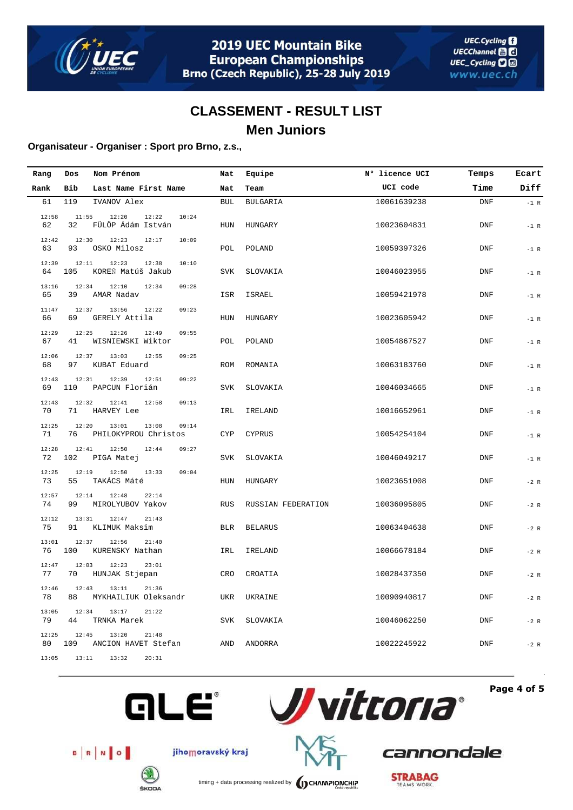

### **Organisateur - Organiser : Sport pro Brno, z.s.,**

| Rang        | Dos          | Nom Prénom                                      | Nat        | Equipe             | N° licence UCI | Temps      | Ecart  |
|-------------|--------------|-------------------------------------------------|------------|--------------------|----------------|------------|--------|
| Rank        | Bib          | Last Name First Name                            | Nat        | Team               | UCI code       | Time       | Diff   |
| 61          | 119          | IVANOV Alex                                     | <b>BUL</b> | <b>BULGARIA</b>    | 10061639238    | <b>DNF</b> | $-1$ R |
| 12:58<br>62 | 11:55<br>32  | 12:20<br>12:22<br>10:24<br>FÜLÖP Ádám István    | HUN        | HUNGARY            | 10023604831    | <b>DNF</b> | $-1$ R |
| 12:42<br>63 | 12:30<br>93  | 12:23<br>12:17<br>10:09<br>OSKO Milosz          | POL        | POLAND             | 10059397326    | <b>DNF</b> | $-1$ R |
| 12:39<br>64 | 12:11<br>105 | 12:23<br>12:38<br>10:10<br>KOREŇ Matúš Jakub    | <b>SVK</b> | SLOVAKIA           | 10046023955    | <b>DNF</b> | $-1$ R |
| 13:16<br>65 | 12:34<br>39  | 12:10<br>12:34<br>09:28<br>AMAR Nadav           | ISR        | ISRAEL             | 10059421978    | <b>DNF</b> | $-1$ R |
| 11:47<br>66 | 12:37<br>69  | 13:56<br>12:22<br>09:23<br>GERELY Attila        | HUN        | HUNGARY            | 10023605942    | <b>DNF</b> | $-1$ R |
| 12:29<br>67 | 12:25<br>41  | 12:26<br>12:49<br>09:55<br>WISNIEWSKI Wiktor    | POL        | POLAND             | 10054867527    | <b>DNF</b> | $-1$ R |
| 12:06<br>68 | 12:37<br>97  | 13:03<br>12:55<br>09:25<br>KUBAT Eduard         | ROM        | ROMANIA            | 10063183760    | <b>DNF</b> | $-1$ R |
| 12:43<br>69 | 12:31<br>110 | 12:51<br>12:39<br>09:22<br>PAPCUN Florián       | <b>SVK</b> | SLOVAKIA           | 10046034665    | <b>DNF</b> | $-1$ R |
| 12:43<br>70 | 12:32<br>71  | 12:41<br>12:58<br>09:13<br>HARVEY Lee           | IRL        | IRELAND            | 10016652961    | <b>DNF</b> | $-1$ R |
| 12:25<br>71 | 12:20<br>76  | 13:08<br>13:01<br>09:14<br>PHILOKYPROU Christos | <b>CYP</b> | <b>CYPRUS</b>      | 10054254104    | <b>DNF</b> | $-1$ R |
| 12:28<br>72 | 12:41<br>102 | 12:50<br>12:44<br>09:27<br>PIGA Matej           | <b>SVK</b> | SLOVAKIA           | 10046049217    | <b>DNF</b> | $-1$ R |
| 12:25<br>73 | 12:19<br>55  | 12:50<br>13:33<br>09:04<br>TAKÁCS Máté          | HUN        | HUNGARY            | 10023651008    | <b>DNF</b> | $-2 R$ |
| 12:57<br>74 | 12:14<br>99  | 12:48<br>22:14<br>MIROLYUBOV Yakov              | <b>RUS</b> | RUSSIAN FEDERATION | 10036095805    | DNF        | $-2 R$ |
| 12:12<br>75 | 13:31<br>91  | 12:47<br>21:43<br>KLIMUK Maksim                 | <b>BLR</b> | <b>BELARUS</b>     | 10063404638    | <b>DNF</b> | $-2 R$ |
| 13:01<br>76 | 12:37<br>100 | 12:56<br>21:40<br>KURENSKY Nathan               | IRL        | IRELAND            | 10066678184    | <b>DNF</b> | $-2 R$ |
| 12:47<br>77 | 12:03<br>70  | 12:23<br>23:01<br>HUNJAK Stjepan                | <b>CRO</b> | CROATIA            | 10028437350    | DNF        | $-2 R$ |
| 12:46<br>78 | 12:43<br>88  | 13:11<br>21:36<br>MYKHAILIUK Oleksandr          | UKR        | UKRAINE            | 10090940817    | <b>DNF</b> | $-2 R$ |
| 13:05<br>79 | 12:34<br>44  | 13:17<br>21:22<br>TRNKA Marek                   | <b>SVK</b> | SLOVAKIA           | 10046062250    | <b>DNF</b> | $-2 R$ |
| 12:25<br>80 | 12:45<br>109 | 13:20<br>21:48<br>ANCION HAVET Stefan           | AND        | ANDORRA            | 10022245922    | DNF        | $-2 R$ |
| 13:05       | 13:11        | 13:32<br>20:31                                  |            |                    |                |            |        |





**Page 4 of 5**



jihomoravský kraj



cannondale



timing + data processing realized by **CHAMPIONCHIP**